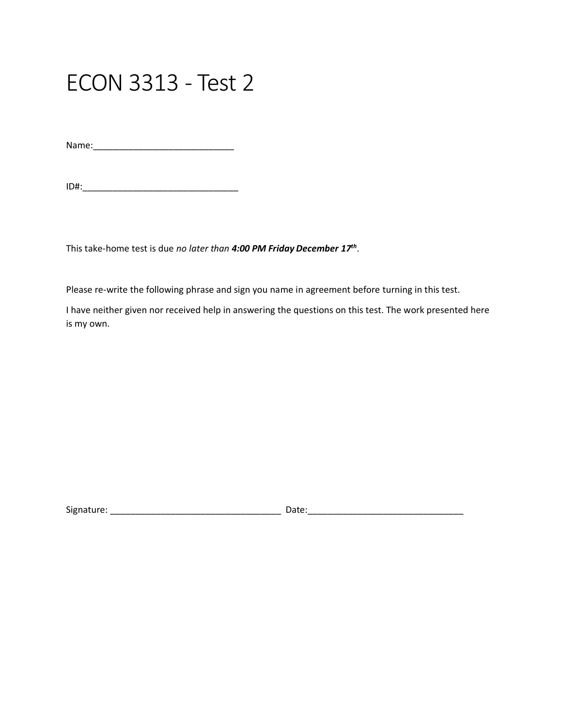## ECON 3313 - Test 2

Name:\_\_\_\_\_\_\_\_\_\_\_\_\_\_\_\_\_\_\_\_\_\_\_\_\_\_\_\_

ID#:\_\_\_\_\_\_\_\_\_\_\_\_\_\_\_\_\_\_\_\_\_\_\_\_\_\_\_\_\_\_\_

This take-home test is due *no later than 4:00 PM Friday December 17th* .

Please re-write the following phrase and sign you name in agreement before turning in this test.

I have neither given nor received help in answering the questions on this test. The work presented here is my own.

Signature: \_\_\_\_\_\_\_\_\_\_\_\_\_\_\_\_\_\_\_\_\_\_\_\_\_\_\_\_\_\_\_\_\_\_ Date:\_\_\_\_\_\_\_\_\_\_\_\_\_\_\_\_\_\_\_\_\_\_\_\_\_\_\_\_\_\_\_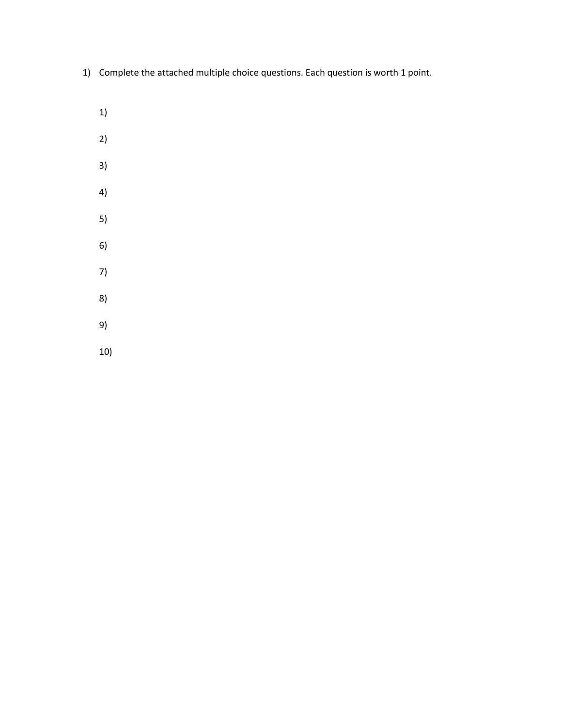- 1) Complete the attached multiple choice questions. Each question is worth 1 point.
	- 1)
	- 2)
	- 3)
	- 4)
	- 5)
	- 6)
	- 7)
	- 8)
	-
	- 9)
	- 10)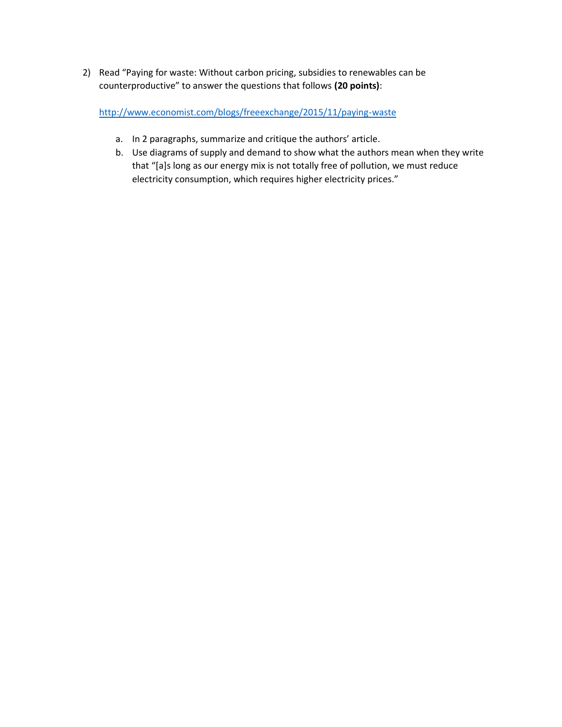2) Read "Paying for waste: Without carbon pricing, subsidies to renewables can be counterproductive" to answer the questions that follows **(20 points)**:

<http://www.economist.com/blogs/freeexchange/2015/11/paying-waste>

- a. In 2 paragraphs, summarize and critique the authors' article.
- b. Use diagrams of supply and demand to show what the authors mean when they write that "[a]s long as our energy mix is not totally free of pollution, we must reduce electricity consumption, which requires higher electricity prices."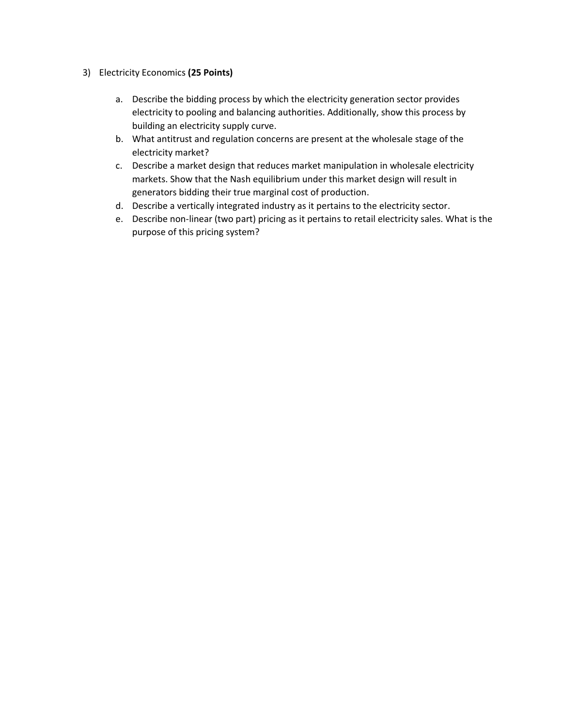- 3) Electricity Economics **(25 Points)**
	- a. Describe the bidding process by which the electricity generation sector provides electricity to pooling and balancing authorities. Additionally, show this process by building an electricity supply curve.
	- b. What antitrust and regulation concerns are present at the wholesale stage of the electricity market?
	- c. Describe a market design that reduces market manipulation in wholesale electricity markets. Show that the Nash equilibrium under this market design will result in generators bidding their true marginal cost of production.
	- d. Describe a vertically integrated industry as it pertains to the electricity sector.
	- e. Describe non-linear (two part) pricing as it pertains to retail electricity sales. What is the purpose of this pricing system?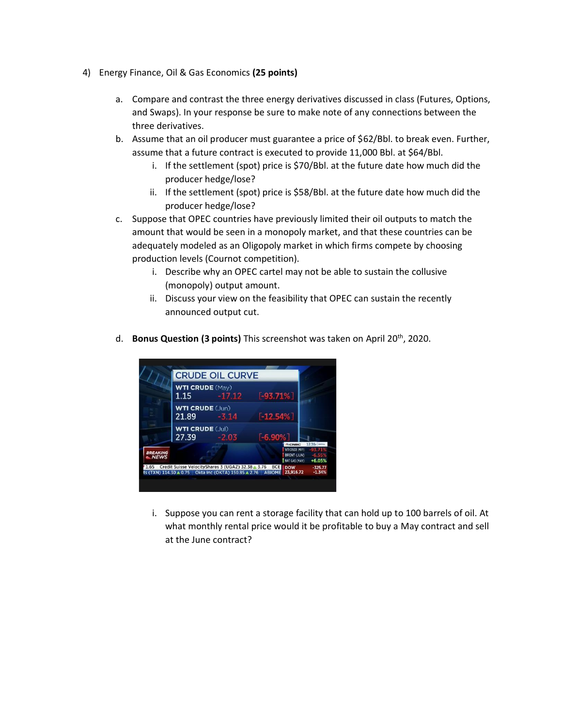- 4) Energy Finance, Oil & Gas Economics **(25 points)**
	- a. Compare and contrast the three energy derivatives discussed in class (Futures, Options, and Swaps). In your response be sure to make note of any connections between the three derivatives.
	- b. Assume that an oil producer must guarantee a price of \$62/Bbl. to break even. Further, assume that a future contract is executed to provide 11,000 Bbl. at \$64/Bbl.
		- i. If the settlement (spot) price is \$70/Bbl. at the future date how much did the producer hedge/lose?
		- ii. If the settlement (spot) price is \$58/Bbl. at the future date how much did the producer hedge/lose?
	- c. Suppose that OPEC countries have previously limited their oil outputs to match the amount that would be seen in a monopoly market, and that these countries can be adequately modeled as an Oligopoly market in which firms compete by choosing production levels (Cournot competition).
		- i. Describe why an OPEC cartel may not be able to sustain the collusive (monopoly) output amount.
		- ii. Discuss your view on the feasibility that OPEC can sustain the recently announced output cut.
	- d. **Bonus Question (3 points)** This screenshot was taken on April 20th, 2020.



i. Suppose you can rent a storage facility that can hold up to 100 barrels of oil. At what monthly rental price would it be profitable to buy a May contract and sell at the June contract?